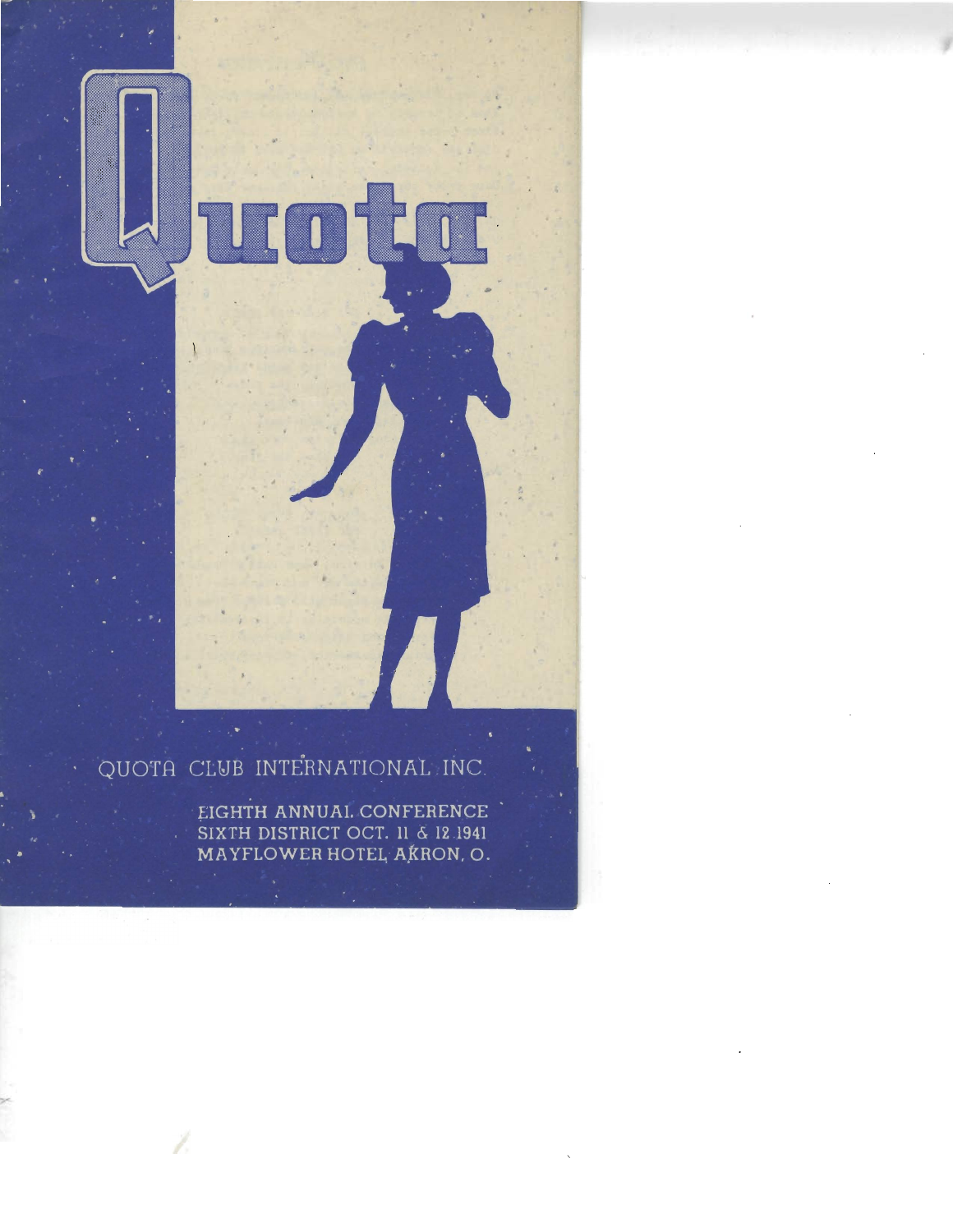

# QUOTA CLUB INTERNATIONAL INC.

EIGHTH ANNUAL CONFERENCE<br>SIXTH DISTRICT OCT. 11 & 12 1941<br>MAYFLOWER HOTEL, AKRON, O.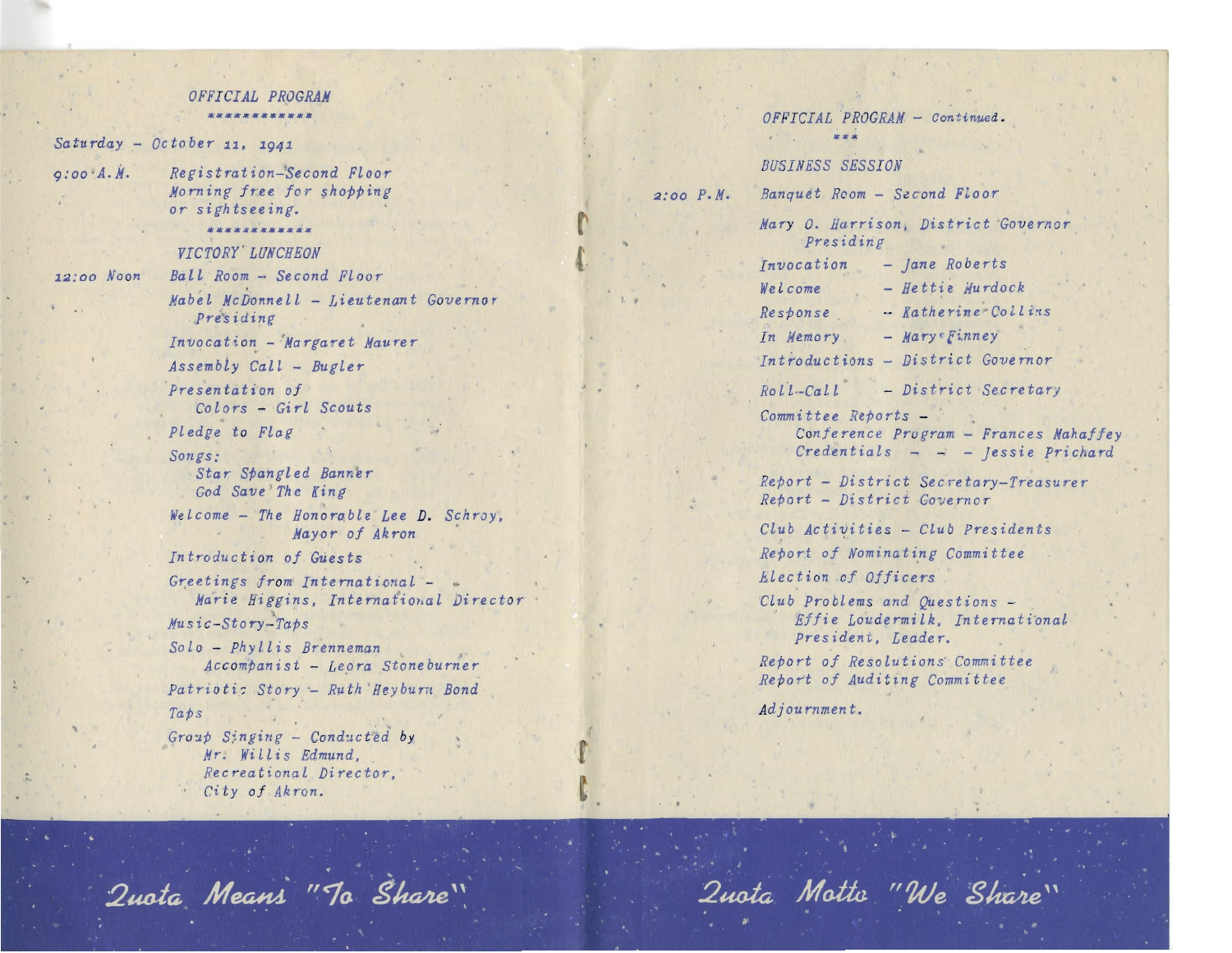### OFFICIAL PROGRAM

### $Saturday - October$  11, 1941

 $Q:OO'A.M.$ 

Morning free for shopping or sightseeing.

Registration-Second Floor

#### 12:00 Noon

VICTORY LUNCHEON Ball Room - Second Floor Mabel McDonnell - Lieutenant Governgr Presiding Invocation - Margaret Maurer  $Assembly$  Call - Bugler Presentation of Colors - Girl Scouts Pledge to Flag Songs: Star Spangled Banner God Save The King Welcome - The Honorable Lee D. Schroy, Mayor of Akron Introduction of Guests Greetings from International -Marie Higgins, International Director  $Music-Story-Tabs$  $Solo$  - Phyllis Brenneman Accompanist - Leora Stoneburner Patriotic Story - Ruth Heyburn Bond  $Taps$  $Group$  Singing - Conducted by Mr. Willis Edmund, Recreational Director,  $City$  of  $Akron.$ 

 $OFFICIAL$  PROGRAM - Continued.  $***$ Seat of the **BUSINESS SESSION** Banquet Room - Second Floor  $2:00 \text{ } P \cdot M$ . Mary O. Harrison, District Governor Presiding Invocation  $-$  *lane* Roberts  $-$  Hettie Murdock Welcome - Katherine Collins Response  $-Mary of *Finance*$ In Memory Introductions - District Governor  $Rol'l - Cal'l$  $-$  District Secretary Committee Reports -Conference Program - Frances Mahaffey Credentials  $less$  richard Report - District Secretary-Treasurer Report - District Covernor Club Activities - Club Presidents Report of Nominating Committee Election of Officers  $Club$  Problems and Questions  $\sim$ Effie Loudermilk, International president. Leader. Report of Resolutions' Committee Report of Auditing Committee Adjournment.

Quota Means "To Share"

Quota Motto "We Share"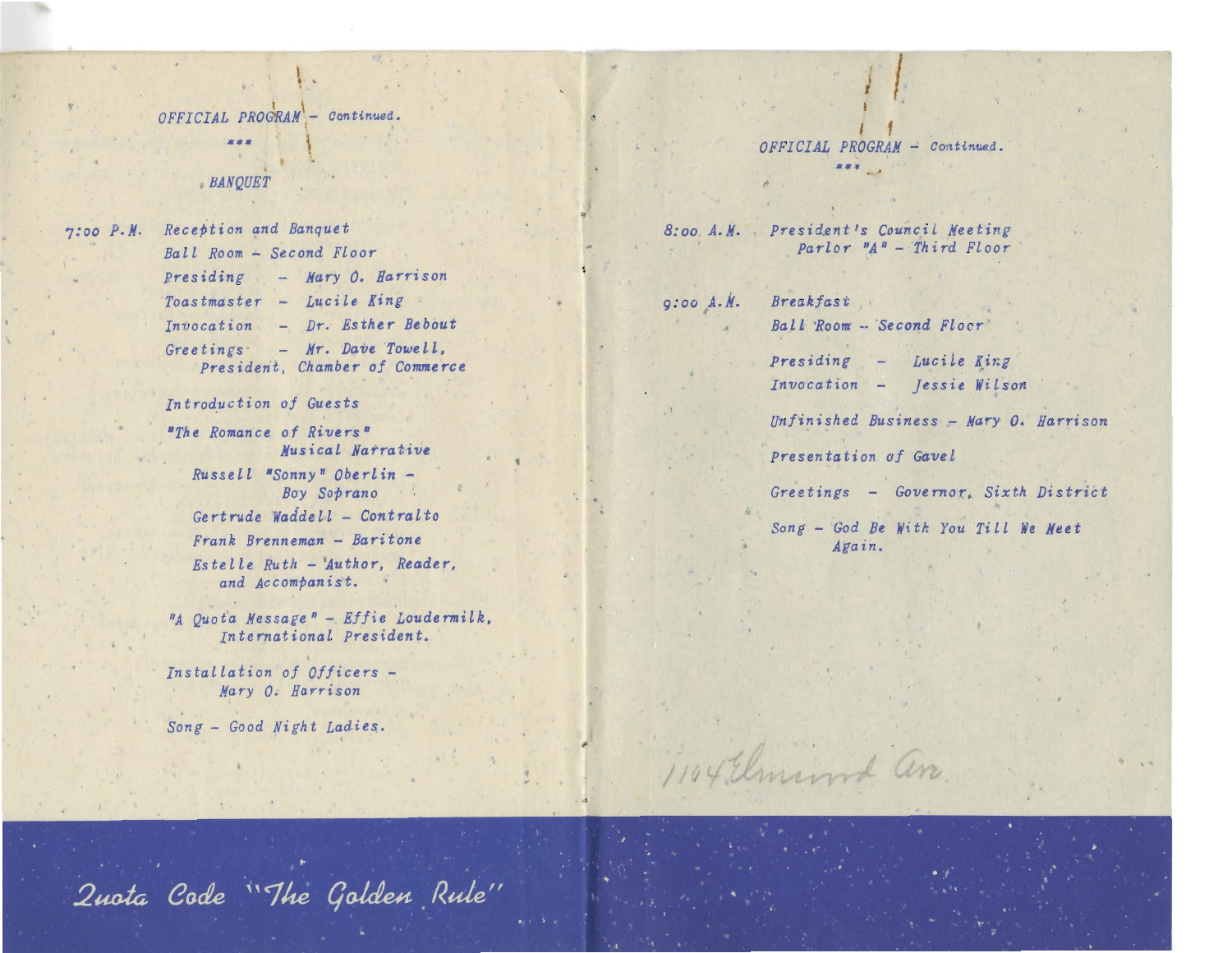OFFICIAL PROGRAM - Continued.

#### **BANOUET**

7:00 P.M. Reception and Banquet Ball Room - Second Floor Presiding - Mary O. Harrison Toastmaster - Lucile King Invocation - Dr. Esther Bebout Greetings  $-$  Mr. Dave Towell, President, Chamber of Commerce

Introduction of Guests

"The Romance of Rivers" Musical Natrative Russell "Sonny" Oberlin -Boy Soprano Gertrude Waddell - Contralto Frank Brenneman - Baritone Estelle Ruth - Author, Reader, and Accompanist.

"A Quota Message" - Effie Loudermilk, International President.

Installation of Officers -Mary O. Harrison

Song - Good Night Ladies.

# OFFICIAL PROGRAM - Continued.

8:00 A.M. President's Council Meeting  $Parlor$   $M^B$  - Third Floor

 $9:00 A.M.$ Breakfast

Ball Room -- Second Floor

Presiding - Lucile King Invocation - Jessie Wilson

Unfinished Business - Mary O. Harrison

Presentation of Gavel

1104 Elmina an

Greetings - Governor, Sixth District

Song - God Be With You Till We Meet Again.

Quota Code "The Golden Rule"